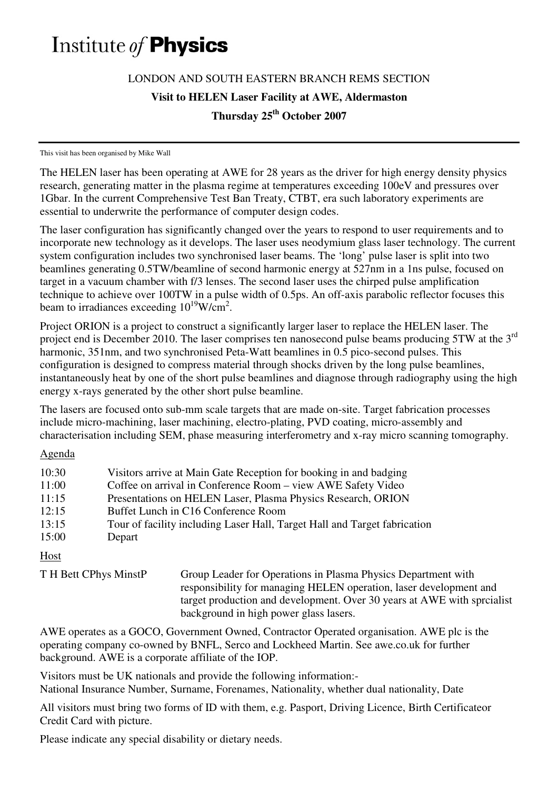## Institute of **Physics**

## LONDON AND SOUTH EASTERN BRANCH REMS SECTION

**Visit to HELEN Laser Facility at AWE, Aldermaston** 

**Thursday 25th October 2007** 

This visit has been organised by Mike Wall

The HELEN laser has been operating at AWE for 28 years as the driver for high energy density physics research, generating matter in the plasma regime at temperatures exceeding 100eV and pressures over 1Gbar. In the current Comprehensive Test Ban Treaty, CTBT, era such laboratory experiments are essential to underwrite the performance of computer design codes.

The laser configuration has significantly changed over the years to respond to user requirements and to incorporate new technology as it develops. The laser uses neodymium glass laser technology. The current system configuration includes two synchronised laser beams. The 'long' pulse laser is split into two beamlines generating 0.5TW/beamline of second harmonic energy at 527nm in a 1ns pulse, focused on target in a vacuum chamber with f/3 lenses. The second laser uses the chirped pulse amplification technique to achieve over 100TW in a pulse width of 0.5ps. An off-axis parabolic reflector focuses this beam to irradiances exceeding  $10^{19}$ W/cm<sup>2</sup>.

Project ORION is a project to construct a significantly larger laser to replace the HELEN laser. The project end is December 2010. The laser comprises ten nanosecond pulse beams producing 5TW at the 3<sup>rd</sup> harmonic, 351nm, and two synchronised Peta-Watt beamlines in 0.5 pico-second pulses. This configuration is designed to compress material through shocks driven by the long pulse beamlines, instantaneously heat by one of the short pulse beamlines and diagnose through radiography using the high energy x-rays generated by the other short pulse beamline.

The lasers are focused onto sub-mm scale targets that are made on-site. Target fabrication processes include micro-machining, laser machining, electro-plating, PVD coating, micro-assembly and characterisation including SEM, phase measuring interferometry and x-ray micro scanning tomography.

Agenda

| 10:30<br>11:00 | Visitors arrive at Main Gate Reception for booking in and badging<br>Coffee on arrival in Conference Room – view AWE Safety Video |
|----------------|-----------------------------------------------------------------------------------------------------------------------------------|
| 11:15          | Presentations on HELEN Laser, Plasma Physics Research, ORION                                                                      |
| 12:15          | Buffet Lunch in C16 Conference Room                                                                                               |
| 13:15          | Tour of facility including Laser Hall, Target Hall and Target fabrication                                                         |
| 15:00          | Depart                                                                                                                            |
|                |                                                                                                                                   |

Host

T H Bett CPhys MinstP Group Leader for Operations in Plasma Physics Department with responsibility for managing HELEN operation, laser development and target production and development. Over 30 years at AWE with sprcialist background in high power glass lasers.

AWE operates as a GOCO, Government Owned, Contractor Operated organisation. AWE plc is the operating company co-owned by BNFL, Serco and Lockheed Martin. See awe.co.uk for further background. AWE is a corporate affiliate of the IOP.

Visitors must be UK nationals and provide the following information:- National Insurance Number, Surname, Forenames, Nationality, whether dual nationality, Date

All visitors must bring two forms of ID with them, e.g. Pasport, Driving Licence, Birth Certificateor Credit Card with picture.

Please indicate any special disability or dietary needs.